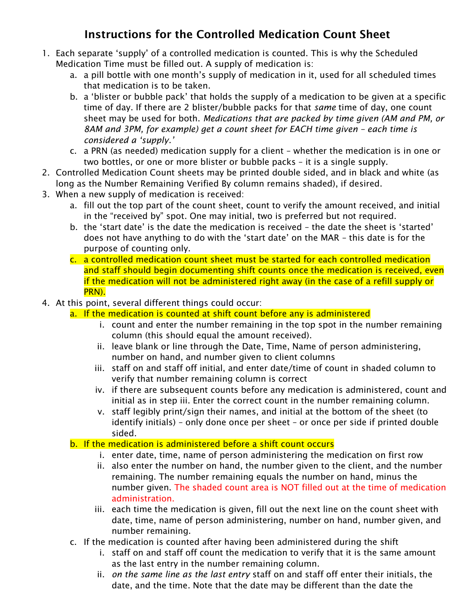# Instructions for the Controlled Medication Count Sheet

- 1. Each separate 'supply' of a controlled medication is counted. This is why the Scheduled Medication Time must be filled out. A supply of medication is:
	- a. a pill bottle with one month's supply of medication in it, used for all scheduled times that medication is to be taken.
	- b. a 'blister or bubble pack' that holds the supply of a medication to be given at a specific time of day. If there are 2 blister/bubble packs for that *same* time of day, one count sheet may be used for both. *Medications that are packed by time given (AM and PM, or 8AM and 3PM, for example) get a count sheet for EACH time given – each time is considered a 'supply.'*
	- c. a PRN (as needed) medication supply for a client whether the medication is in one or two bottles, or one or more blister or bubble packs – it is a single supply.
- 2. Controlled Medication Count sheets may be printed double sided, and in black and white (as long as the Number Remaining Verified By column remains shaded), if desired.
- 3. When a new supply of medication is received:
	- a. fill out the top part of the count sheet, count to verify the amount received, and initial in the "received by" spot. One may initial, two is preferred but not required.
	- b. the 'start date' is the date the medication is received the date the sheet is 'started' does not have anything to do with the 'start date' on the MAR – this date is for the purpose of counting only.
	- c. a controlled medication count sheet must be started for each controlled medication and staff should begin documenting shift counts once the medication is received, even if the medication will not be administered right away (in the case of a refill supply or PRN).
- 4. At this point, several different things could occur:
	- a. If the medication is counted at shift count before any is administered
		- i. count and enter the number remaining in the top spot in the number remaining column (this should equal the amount received).
		- ii. leave blank or line through the Date, Time, Name of person administering, number on hand, and number given to client columns
		- iii. staff on and staff off initial, and enter date/time of count in shaded column to verify that number remaining column is correct
		- iv. if there are subsequent counts before any medication is administered, count and initial as in step iii. Enter the correct count in the number remaining column.
		- v. staff legibly print/sign their names, and initial at the bottom of the sheet (to identify initials) – only done once per sheet – or once per side if printed double sided.

## b. If the medication is administered before a shift count occurs

- i. enter date, time, name of person administering the medication on first row
- ii. also enter the number on hand, the number given to the client, and the number remaining. The number remaining equals the number on hand, minus the number given. The shaded count area is NOT filled out at the time of medication administration.
- iii. each time the medication is given, fill out the next line on the count sheet with date, time, name of person administering, number on hand, number given, and number remaining.
- c. If the medication is counted after having been administered during the shift
	- i. staff on and staff off count the medication to verify that it is the same amount as the last entry in the number remaining column.
	- ii. *on the same line as the last entry* staff on and staff off enter their initials, the date, and the time. Note that the date may be different than the date the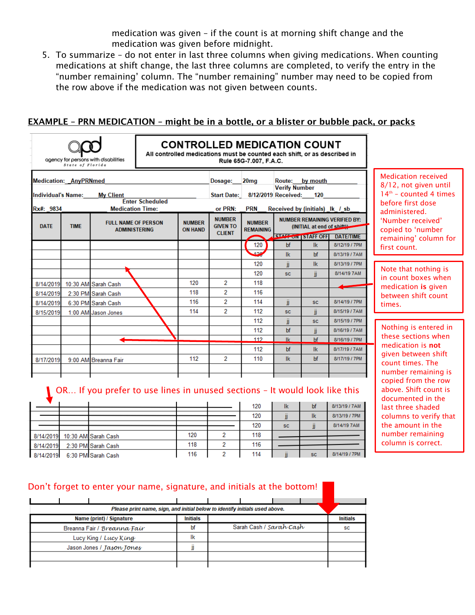medication was given – if the count is at morning shift change and the medication was given before midnight.

5. To summarize – do not enter in last three columns when giving medications. When counting medications at shift change, the last three columns are completed, to verify the entry in the "number remaining' column. The "number remaining" number may need to be copied from the row above if the medication was not given between counts.

## EXAMPLE – PRN MEDICATION – might be in a bottle, or a blister or bubble pack, or packs

|                                                                                                         | State of Florida | agency for persons with disabilities                                                              | All controlled medications must be counted each shift, or as described in |      | <b>CONTROLLED MEDICATION COUNT</b>                           | Rule 65G-7.007, F.A.C.                          |                                                                                                                                     |                                                                                                      |                                               |                                                                                                                                                                                  |  |
|---------------------------------------------------------------------------------------------------------|------------------|---------------------------------------------------------------------------------------------------|---------------------------------------------------------------------------|------|--------------------------------------------------------------|-------------------------------------------------|-------------------------------------------------------------------------------------------------------------------------------------|------------------------------------------------------------------------------------------------------|-----------------------------------------------|----------------------------------------------------------------------------------------------------------------------------------------------------------------------------------|--|
| <b>Medication: AnyPRNmed</b><br><b>Individual's Name:</b><br><b>My Client</b><br><b>Enter Scheduled</b> |                  |                                                                                                   | Dosage:<br><b>Start Date:</b>                                             | 20mg | Route:<br><b>Verify Number</b><br>8/12/2019 Received:        | by mouth<br>120                                 |                                                                                                                                     | <b>Medication received</b><br>8/12, not given until<br>$14th$ - counted 4 times<br>before first dose |                                               |                                                                                                                                                                                  |  |
| Rx#: 9834<br><b>DATE</b>                                                                                | <b>TIME</b>      | <b>Medication Time:</b><br><b>FULL NAME OF PERSON</b><br><b>ADMINISTERING</b>                     | <b>NUMBER</b><br><b>ON HAND</b>                                           |      | or PRN:<br><b>NUMBER</b><br><b>GIVEN TO</b><br><b>CLIENT</b> | <b>PRN</b><br><b>NUMBER</b><br><b>REMAINING</b> | Received by (initials) Ik / sb<br><b>NUMBER REMAINING VERIFIED BY:</b><br>(INITIAL at end of shift)<br>STAFF ON STAFF OFF DATE/TIME |                                                                                                      |                                               | administered.<br>'Number received'<br>copied to 'number<br>remaining' column for                                                                                                 |  |
|                                                                                                         |                  |                                                                                                   |                                                                           |      |                                                              | 120                                             | bf                                                                                                                                  | lk.                                                                                                  | 8/12/19 / 7PM                                 | first count.                                                                                                                                                                     |  |
|                                                                                                         |                  |                                                                                                   |                                                                           |      |                                                              | 400                                             | <b>Ik</b>                                                                                                                           | bf                                                                                                   | 8/13/19 / 7AM                                 |                                                                                                                                                                                  |  |
|                                                                                                         |                  |                                                                                                   |                                                                           |      |                                                              | 120                                             | Ïİ                                                                                                                                  | lk.                                                                                                  | 8/13/19 / 7PM                                 | Note that nothing is                                                                                                                                                             |  |
|                                                                                                         |                  |                                                                                                   |                                                                           |      |                                                              | 120                                             | <b>SC</b>                                                                                                                           | jj                                                                                                   | 8/14/19 7AM                                   | in count boxes when                                                                                                                                                              |  |
| 8/14/2019                                                                                               |                  | 10:30 AM Sarah Cash                                                                               |                                                                           | 120  | 2                                                            | 118                                             |                                                                                                                                     |                                                                                                      |                                               | medication is given                                                                                                                                                              |  |
| 8/14/2019                                                                                               |                  | 2:30 PM Sarah Cash                                                                                |                                                                           | 118  | 2                                                            | 116                                             |                                                                                                                                     |                                                                                                      |                                               | between shift count                                                                                                                                                              |  |
| 8/14/2019                                                                                               |                  | 6:30 PM Sarah Cash                                                                                |                                                                           | 116  | $\overline{2}$                                               | 114                                             | jj.                                                                                                                                 | SC.                                                                                                  | 8/14/19 / 7PM                                 | times.                                                                                                                                                                           |  |
| 8/15/2019                                                                                               |                  | 1:00 AM Jason Jones                                                                               |                                                                           | 114  | 2                                                            | 112                                             | <b>SC</b>                                                                                                                           | jj                                                                                                   | 8/15/19 / 7AM                                 |                                                                                                                                                                                  |  |
|                                                                                                         |                  |                                                                                                   |                                                                           |      |                                                              | 112                                             | Ïİ                                                                                                                                  | <b>SC</b>                                                                                            | 8/15/19 / 7PM                                 | Nothing is entered in                                                                                                                                                            |  |
|                                                                                                         |                  |                                                                                                   |                                                                           |      |                                                              | 112                                             | bf                                                                                                                                  | Ï                                                                                                    | 8/16/19 / 7AM                                 | these sections when                                                                                                                                                              |  |
|                                                                                                         |                  |                                                                                                   |                                                                           |      |                                                              | 112                                             | <b>Ik</b>                                                                                                                           | bf                                                                                                   | 8/16/19 / 7PM                                 | medication is not                                                                                                                                                                |  |
|                                                                                                         |                  |                                                                                                   |                                                                           |      |                                                              | 112                                             | bf                                                                                                                                  | lk.                                                                                                  | 8/17/19 / 7AM                                 | given between shift                                                                                                                                                              |  |
| 8/17/2019                                                                                               |                  | 9:00 AM Breanna Fair                                                                              |                                                                           | 112  | 2                                                            | 110                                             | lk.                                                                                                                                 | bf                                                                                                   | 8/17/19 / 7PM                                 | count times. The                                                                                                                                                                 |  |
| 8/14/2019                                                                                               |                  | OR If you prefer to use lines in unused sections - It would look like this<br>10:30 AM Sarah Cash |                                                                           | 120  | 2                                                            | 120<br>120<br>120<br>118                        | lk.<br>ii.<br><b>SC</b>                                                                                                             | bf<br>lk.<br>ii.                                                                                     | 8/13/19 / 7AM<br>8/13/19 / 7PM<br>8/14/19 7AM | number remaining is<br>copied from the row<br>above. Shift count is<br>documented in the<br>last three shaded<br>columns to verify that<br>the amount in the<br>number remaining |  |
| 8/14/2019                                                                                               |                  | 2:30 PM Sarah Cash                                                                                |                                                                           | 118  | 2                                                            | 116                                             |                                                                                                                                     |                                                                                                      |                                               | column is correct.                                                                                                                                                               |  |
| 8/14/2019                                                                                               |                  | 6:30 PM Sarah Cash                                                                                |                                                                           | 116  | $\overline{2}$                                               | 114                                             |                                                                                                                                     | SC.                                                                                                  | 8/14/19 / 7PM                                 |                                                                                                                                                                                  |  |

#### Don't forget to enter your name, signature, and initials at the bottom!

| Please print name, sign, and initial below to identify initials used above. |                 |                         |                 |  |  |  |  |  |  |  |  |
|-----------------------------------------------------------------------------|-----------------|-------------------------|-----------------|--|--|--|--|--|--|--|--|
| Name (print) / Signature                                                    | <b>Initials</b> |                         | <b>Initials</b> |  |  |  |  |  |  |  |  |
| Breanna Fair / Breanna Fair                                                 | bf              | Sarah Cash / Sarah Cash | <b>SC</b>       |  |  |  |  |  |  |  |  |
| Lucy King / Lucy King                                                       | lk              |                         |                 |  |  |  |  |  |  |  |  |
| Jason Jones / Jason Jones                                                   |                 |                         |                 |  |  |  |  |  |  |  |  |
|                                                                             |                 |                         |                 |  |  |  |  |  |  |  |  |
|                                                                             |                 |                         |                 |  |  |  |  |  |  |  |  |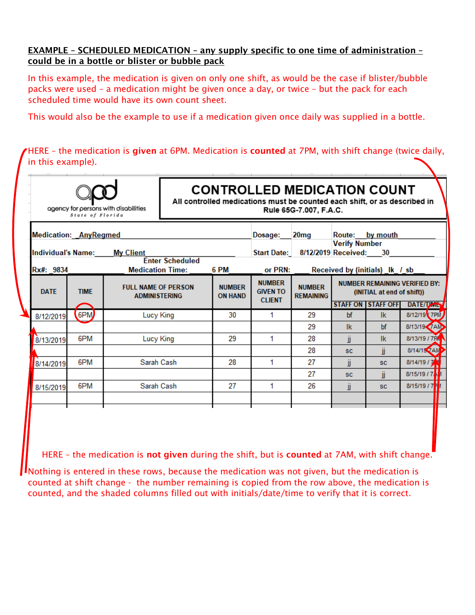#### EXAMPLE – SCHEDULED MEDICATION – any supply specific to one time of administration – could be in a bottle or blister or bubble pack

In this example, the medication is given on only one shift, as would be the case if blister/bubble packs were used – a medication might be given once a day, or twice – but the pack for each scheduled time would have its own count sheet.

This would also be the example to use if a medication given once daily was supplied in a bottle.

HERE – the medication is given at 6PM. Medication is counted at 7PM, with shift change (twice daily, in this example).

|                                                                                            | State of Florida | agency for persons with disabilities               | <b>CONTROLLED MEDICATION COUNT</b><br>All controlled medications must be counted each shift, or as described in<br>Rule 65G-7.007, F.A.C. |                                 |                                                   |                                   |                                                       |                                                         |                                                          |  |
|--------------------------------------------------------------------------------------------|------------------|----------------------------------------------------|-------------------------------------------------------------------------------------------------------------------------------------------|---------------------------------|---------------------------------------------------|-----------------------------------|-------------------------------------------------------|---------------------------------------------------------|----------------------------------------------------------|--|
| <b>Medication: AnyRegmed</b><br><b>My Client</b><br><b>Individual's Name:</b><br>Rx#: 9834 |                  |                                                    | <b>Enter Scheduled</b><br><b>Medication Time:</b>                                                                                         | 6 PM                            | Dosage:<br><b>Start Date:</b><br>or PRN:          | 20 <sub>mg</sub>                  | Route:<br><b>Verify Number</b><br>8/12/2019 Received: | by mouth<br>30<br>Received by (initials) Ik / sb        |                                                          |  |
| <b>DATE</b>                                                                                | <b>TIME</b>      | <b>FULL NAME OF PERSON</b><br><b>ADMINISTERING</b> |                                                                                                                                           | <b>NUMBER</b><br><b>ON HAND</b> | <b>NUMBER</b><br><b>GIVEN TO</b><br><b>CLIENT</b> | <b>NUMBER</b><br><b>REMAINING</b> |                                                       | (INITIAL at end of shift))<br><b>STAFF ON STAFF OFF</b> | <b>NUMBER REMAINING VERIFIED BY:</b><br><b>DATE/TANE</b> |  |
| 8/12/2019                                                                                  | 6PM              | Lucy King                                          |                                                                                                                                           | 30                              | 1                                                 | 29                                | bf                                                    | lk.                                                     | 8/12/19 7PM                                              |  |
|                                                                                            |                  |                                                    |                                                                                                                                           |                                 |                                                   | 29                                | lk.                                                   | bf                                                      | 8/13/19 7AM                                              |  |
| 8/13/2019                                                                                  | 6PM              | Lucy King                                          |                                                                                                                                           | 29                              | 1                                                 | 28                                | ii                                                    | lk.                                                     | 8/13/19 / 7PA                                            |  |
|                                                                                            |                  |                                                    |                                                                                                                                           |                                 |                                                   | 28                                | <b>SC</b>                                             | ii                                                      | 8/14/15 ZAM                                              |  |
| 8/14/2019                                                                                  | 6PM              | Sarah Cash                                         |                                                                                                                                           | 28                              | 1                                                 | 27                                | jj                                                    | <b>SC</b>                                               | 8/14/19 / 7                                              |  |
|                                                                                            |                  |                                                    |                                                                                                                                           |                                 |                                                   | 27                                | <b>SC</b>                                             | ÏÎ                                                      | 8/15/19 / 7                                              |  |
| 8/15/2019                                                                                  | 6PM              | Sarah Cash                                         |                                                                                                                                           | 27                              | 1                                                 | 26                                | ĴĴ                                                    | <b>SC</b>                                               | 8/15/19 / 7 <sup>P</sup> M                               |  |

HERE – the medication is not given during the shift, but is counted at 7AM, with shift change.

Nothing is entered in these rows, because the medication was not given, but the medication is counted at shift change - the number remaining is copied from the row above, the medication is counted, and the shaded columns filled out with initials/date/time to verify that it is correct.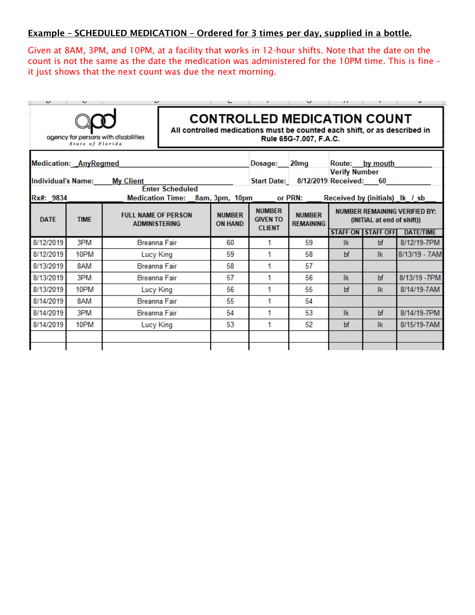#### Example – SCHEDULED MEDICATION – Ordered for 3 times per day, supplied in a bottle.

Given at 8AM, 3PM, and 10PM, at a facility that works in 12-hour shifts. Note that the date on the count is not the same as the date the medication was administered for the 10PM time. This is fine – it just shows that the next count was due the next morning.

| υ                            |                  | υ                                                  |                        |                                 |                                                   | v                                                                                                                                         | п                                                                  |                                | υ                |
|------------------------------|------------------|----------------------------------------------------|------------------------|---------------------------------|---------------------------------------------------|-------------------------------------------------------------------------------------------------------------------------------------------|--------------------------------------------------------------------|--------------------------------|------------------|
|                              | State of Florida | agency for persons with disabilities               |                        |                                 |                                                   | <b>CONTROLLED MEDICATION COUNT</b><br>All controlled medications must be counted each shift, or as described in<br>Rule 65G-7.007, F.A.C. |                                                                    |                                |                  |
| <b>Medication: AnyRegmed</b> |                  |                                                    |                        |                                 | Dosage:                                           | 20 <sub>mg</sub>                                                                                                                          | <b>Route:</b><br><b>Verify Number</b>                              | by mouth                       |                  |
| <b>Individual's Name:</b>    |                  | <b>My Client</b>                                   |                        |                                 | <b>Start Date:</b>                                |                                                                                                                                           | 8/12/2019 Received:                                                | 60                             |                  |
| Rx#: 9834                    |                  | <b>Medication Time:</b>                            | <b>Enter Scheduled</b> | 8am, 3pm, 10pm                  |                                                   | or PRN:                                                                                                                                   |                                                                    | Received by (initials) Ik / sb |                  |
| <b>DATE</b>                  | <b>TIME</b>      | <b>FULL NAME OF PERSON</b><br><b>ADMINISTERING</b> |                        | <b>NUMBER</b><br><b>ON HAND</b> | <b>NUMBER</b><br><b>GIVEN TO</b><br><b>CLIENT</b> | <b>NUMBER</b><br><b>REMAINING</b>                                                                                                         | <b>NUMBER REMAINING VERIFIED BY:</b><br>(INITIAL at end of shift)) |                                |                  |
|                              |                  |                                                    |                        |                                 |                                                   |                                                                                                                                           |                                                                    | <b>STAFF ON STAFF OFF</b>      | <b>DATE/TIME</b> |
| 8/12/2019                    | 3PM              | <b>Breanna Fair</b>                                |                        | 60                              | 1                                                 | 59                                                                                                                                        | -lk                                                                | bf                             | 8/12/19-7PM      |
| 8/12/2019                    | 10PM             | Lucy King                                          |                        | 59                              | 1                                                 | 58                                                                                                                                        | bf                                                                 | lk                             | 8/13/19 - 7AM    |
| 8/13/2019                    | 8AM              | <b>Breanna Fair</b>                                |                        | 58                              | 1                                                 | 57                                                                                                                                        |                                                                    |                                |                  |
| 8/13/2019                    | 3PM              | <b>Breanna Fair</b>                                |                        | 57                              | 1                                                 | 56                                                                                                                                        | <b>Ik</b>                                                          | bf                             | 8/13/19 - 7PM    |
| 8/13/2019                    | 10PM             | Lucy King                                          |                        | 56                              | 1                                                 | 55                                                                                                                                        | bf                                                                 | <b>Ik</b>                      | 8/14/19-7AM      |
| 8/14/2019                    | 8AM              | <b>Breanna Fair</b>                                |                        | 55                              | 1                                                 | 54                                                                                                                                        |                                                                    |                                |                  |
| 8/14/2019                    | 3PM              | Breanna Fair                                       |                        | 54                              | 1                                                 | 53                                                                                                                                        | <b>Ik</b>                                                          | bf                             | 8/14/19-7PM      |
| 8/14/2019                    | 10PM             | Lucy King                                          |                        | 53                              | 1                                                 | 52                                                                                                                                        | bf                                                                 | <b>Ik</b>                      | 8/15/19-7AM      |
|                              |                  |                                                    |                        |                                 |                                                   |                                                                                                                                           |                                                                    |                                |                  |
|                              |                  |                                                    |                        |                                 |                                                   |                                                                                                                                           |                                                                    |                                |                  |